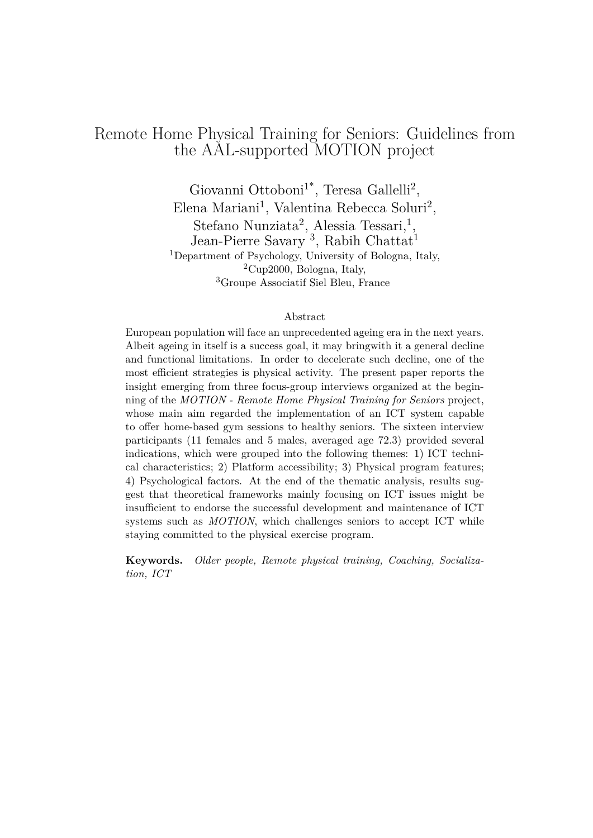# Remote Home Physical Training for Seniors: Guidelines from the AAL-supported MOTION project

Giovanni Ottoboni<sup>1\*</sup>, Teresa Gallelli<sup>2</sup>, Elena Mariani<sup>1</sup>, Valentina Rebecca Soluri<sup>2</sup>, Stefano Nunziata<sup>2</sup>, Alessia Tessari,<sup>1</sup>, Jean-Pierre Savary<sup>3</sup>, Rabih Chattat<sup>1</sup> <sup>1</sup>Department of Psychology, University of Bologna, Italy,  ${}^{2}$ Cup2000, Bologna, Italy, <sup>3</sup>Groupe Associatif Siel Bleu, France

## Abstract

European population will face an unprecedented ageing era in the next years. Albeit ageing in itself is a success goal, it may bringwith it a general decline and functional limitations. In order to decelerate such decline, one of the most efficient strategies is physical activity. The present paper reports the insight emerging from three focus-group interviews organized at the beginning of the *MOTION - Remote Home Physical Training for Seniors* project, whose main aim regarded the implementation of an ICT system capable to offer home-based gym sessions to healthy seniors. The sixteen interview participants (11 females and 5 males, averaged age 72.3) provided several indications, which were grouped into the following themes: 1) ICT technical characteristics; 2) Platform accessibility; 3) Physical program features; 4) Psychological factors. At the end of the thematic analysis, results suggest that theoretical frameworks mainly focusing on ICT issues might be insufficient to endorse the successful development and maintenance of ICT systems such as *MOTION*, which challenges seniors to accept ICT while staying committed to the physical exercise program.

**Keywords.** *Older people, Remote physical training, Coaching, Socialization, ICT*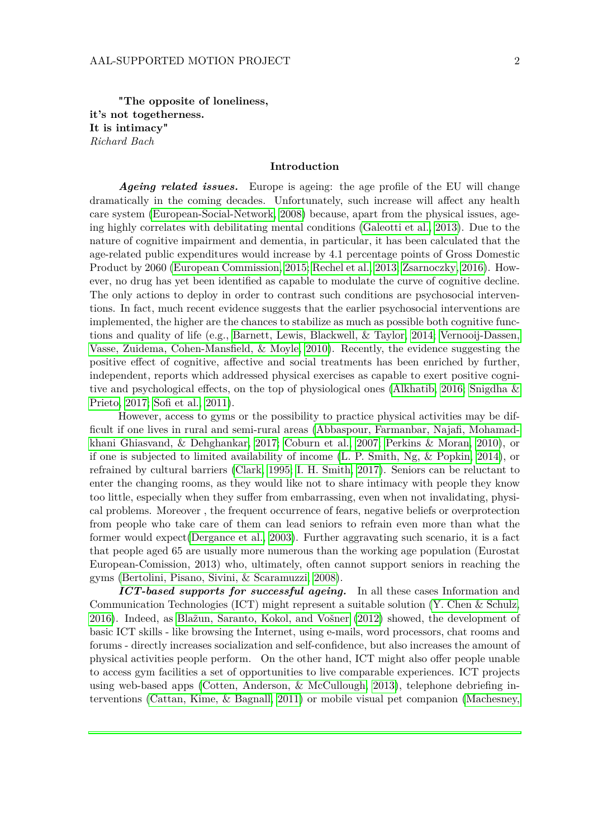**"The opposite of loneliness, it's not togetherness. It is intimacy"** *Richard Bach*

## **Introduction**

*Ageing related issues.* Europe is ageing: the age profile of the EU will change dramatically in the coming decades. Unfortunately, such increase will affect any health care system [\(European-Social-Network, 2008\)](#page-21-0) because, apart from the physical issues, ageing highly correlates with debilitating mental conditions [\(Galeotti et al., 2013\)](#page-21-1). Due to the nature of cognitive impairment and dementia, in particular, it has been calculated that the age-related public expenditures would increase by 4.1 percentage points of Gross Domestic Product by 2060 [\(European Commission, 2015;](#page-21-2) [Rechel et al., 2013;](#page-22-0) [Zsarnoczky, 2016\)](#page-23-0). However, no drug has yet been identified as capable to modulate the curve of cognitive decline. The only actions to deploy in order to contrast such conditions are psychosocial interventions. In fact, much recent evidence suggests that the earlier psychosocial interventions are implemented, the higher are the chances to stabilize as much as possible both cognitive functions and quality of life (e.g., [Barnett, Lewis, Blackwell, & Taylor, 2014;](#page-20-0) [Vernooij-Dassen,](#page-23-1) [Vasse, Zuidema, Cohen-Mansfield, & Moyle, 2010\)](#page-23-1). Recently, the evidence suggesting the positive effect of cognitive, affective and social treatments has been enriched by further, independent, reports which addressed physical exercises as capable to exert positive cognitive and psychological effects, on the top of physiological ones [\(Alkhatib, 2016;](#page-20-1) [Snigdha &](#page-23-2) [Prieto, 2017;](#page-23-2) [Sofi et al., 2011\)](#page-23-3).

However, access to gyms or the possibility to practice physical activities may be difficult if one lives in rural and semi-rural areas [\(Abbaspour, Farmanbar, Najafi, Mohamad](#page-20-2)[khani Ghiasvand, & Dehghankar, 2017;](#page-20-2) [Coburn et al., 2007;](#page-20-3) [Perkins & Moran, 2010\)](#page-22-1), or if one is subjected to limited availability of income [\(L. P. Smith, Ng, & Popkin, 2014\)](#page-23-4), or refrained by cultural barriers [\(Clark, 1995;](#page-20-4) [I. H. Smith, 2017\)](#page-22-2). Seniors can be reluctant to enter the changing rooms, as they would like not to share intimacy with people they know too little, especially when they suffer from embarrassing, even when not invalidating, physical problems. Moreover , the frequent occurrence of fears, negative beliefs or overprotection from people who take care of them can lead seniors to refrain even more than what the former would expect[\(Dergance et al., 2003\)](#page-21-3). Further aggravating such scenario, it is a fact that people aged 65 are usually more numerous than the working age population (Eurostat European-Comission, 2013) who, ultimately, often cannot support seniors in reaching the gyms [\(Bertolini, Pisano, Sivini, & Scaramuzzi, 2008\)](#page-20-5).

*ICT-based supports for successful ageing.* In all these cases Information and Communication Technologies (ICT) might represent a suitable solution [\(Y. Chen & Schulz,](#page-20-6) [2016\)](#page-20-6). Indeed, as [Bla˜zun, Saranto, Kokol, and Vošner](#page-20-7) [\(2012\)](#page-20-7) showed, the development of basic ICT skills - like browsing the Internet, using e-mails, word processors, chat rooms and forums - directly increases socialization and self-confidence, but also increases the amount of physical activities people perform. On the other hand, ICT might also offer people unable to access gym facilities a set of opportunities to live comparable experiences. ICT projects using web-based apps [\(Cotten, Anderson, & McCullough, 2013\)](#page-20-8), telephone debriefing interventions [\(Cattan, Kime, & Bagnall, 2011\)](#page-20-9) or mobile visual pet companion [\(Machesney,](#page-22-3)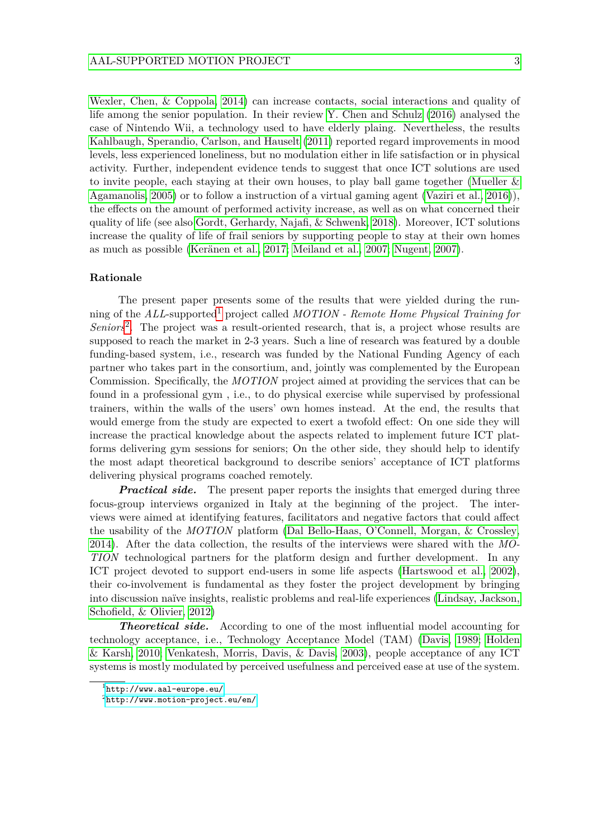[Wexler, Chen, & Coppola, 2014\)](#page-22-3) can increase contacts, social interactions and quality of life among the senior population. In their review [Y. Chen and Schulz](#page-20-6) [\(2016\)](#page-20-6) analysed the case of Nintendo Wii, a technology used to have elderly plaing. Nevertheless, the results [Kahlbaugh, Sperandio, Carlson, and Hauselt](#page-21-4) [\(2011\)](#page-21-4) reported regard improvements in mood levels, less experienced loneliness, but no modulation either in life satisfaction or in physical activity. Further, independent evidence tends to suggest that once ICT solutions are used to invite people, each staying at their own houses, to play ball game together [\(Mueller &](#page-22-4) [Agamanolis, 2005\)](#page-22-4) or to follow a instruction of a virtual gaming agent [\(Vaziri et al., 2016\)](#page-23-5)), the effects on the amount of performed activity increase, as well as on what concerned their quality of life (see also [Gordt, Gerhardy, Najafi, & Schwenk, 2018\)](#page-21-5). Moreover, ICT solutions increase the quality of life of frail seniors by supporting people to stay at their own homes as much as possible [\(Keränen et al., 2017;](#page-21-6) [Meiland et al., 2007;](#page-22-5) [Nugent, 2007\)](#page-22-6).

# **Rationale**

The present paper presents some of the results that were yielded during the running of the *ALL*-supported[1](#page-2-0) project called *MOTION - Remote Home Physical Training for* Seniors<sup>[2](#page-2-1)</sup>. The project was a result-oriented research, that is, a project whose results are supposed to reach the market in 2-3 years. Such a line of research was featured by a double funding-based system, i.e., research was funded by the National Funding Agency of each partner who takes part in the consortium, and, jointly was complemented by the European Commission. Specifically, the *MOTION* project aimed at providing the services that can be found in a professional gym , i.e., to do physical exercise while supervised by professional trainers, within the walls of the users' own homes instead. At the end, the results that would emerge from the study are expected to exert a twofold effect: On one side they will increase the practical knowledge about the aspects related to implement future ICT platforms delivering gym sessions for seniors; On the other side, they should help to identify the most adapt theoretical background to describe seniors' acceptance of ICT platforms delivering physical programs coached remotely.

*Practical side.* The present paper reports the insights that emerged during three focus-group interviews organized in Italy at the beginning of the project. The interviews were aimed at identifying features, facilitators and negative factors that could affect the usability of the *MOTION* platform [\(Dal Bello-Haas, O'Connell, Morgan, & Crossley,](#page-20-10) [2014\)](#page-20-10). After the data collection, the results of the interviews were shared with the *MO-TION* technological partners for the platform design and further development. In any ICT project devoted to support end-users in some life aspects [\(Hartswood et al., 2002\)](#page-21-7), their co-involvement is fundamental as they foster the project development by bringing into discussion naïve insights, realistic problems and real-life experiences [\(Lindsay, Jackson,](#page-22-7) [Schofield, & Olivier, 2012\)](#page-22-7)

*Theoretical side.* According to one of the most influential model accounting for technology acceptance, i.e., Technology Acceptance Model (TAM) [\(Davis, 1989;](#page-20-11) [Holden](#page-21-8) [& Karsh, 2010;](#page-21-8) [Venkatesh, Morris, Davis, & Davis, 2003\)](#page-23-6), people acceptance of any ICT systems is mostly modulated by perceived usefulness and perceived ease at use of the system.

<span id="page-2-0"></span><sup>1</sup> <http://www.aal-europe.eu/>

<span id="page-2-1"></span> $^{2}$ <http://www.motion-project.eu/en/>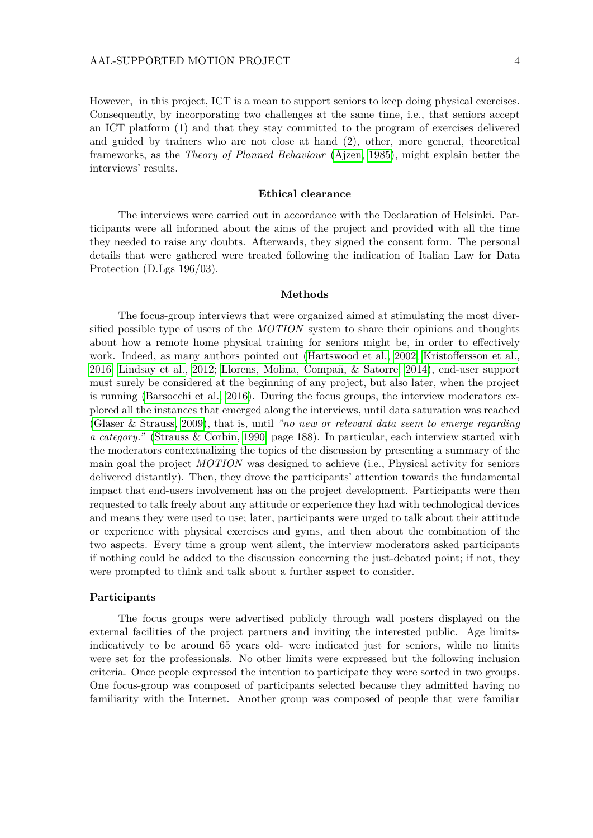However, in this project, ICT is a mean to support seniors to keep doing physical exercises. Consequently, by incorporating two challenges at the same time, i.e., that seniors accept an ICT platform (1) and that they stay committed to the program of exercises delivered and guided by trainers who are not close at hand (2), other, more general, theoretical frameworks, as the *Theory of Planned Behaviour* [\(Ajzen, 1985\)](#page-20-12), might explain better the interviews' results.

#### **Ethical clearance**

The interviews were carried out in accordance with the Declaration of Helsinki. Participants were all informed about the aims of the project and provided with all the time they needed to raise any doubts. Afterwards, they signed the consent form. The personal details that were gathered were treated following the indication of Italian Law for Data Protection (D.Lgs 196/03).

#### **Methods**

The focus-group interviews that were organized aimed at stimulating the most diversified possible type of users of the *MOTION* system to share their opinions and thoughts about how a remote home physical training for seniors might be, in order to effectively work. Indeed, as many authors pointed out [\(Hartswood et al., 2002;](#page-21-7) [Kristoffersson et al.,](#page-21-9) [2016;](#page-21-9) [Lindsay et al., 2012;](#page-22-7) [Llorens, Molina, Compañ, & Satorre, 2014\)](#page-22-8), end-user support must surely be considered at the beginning of any project, but also later, when the project is running [\(Barsocchi et al., 2016\)](#page-20-13). During the focus groups, the interview moderators explored all the instances that emerged along the interviews, until data saturation was reached [\(Glaser & Strauss, 2009\)](#page-21-10), that is, until *"no new or relevant data seem to emerge regarding a category."* [\(Strauss & Corbin, 1990,](#page-23-7) page 188). In particular, each interview started with the moderators contextualizing the topics of the discussion by presenting a summary of the main goal the project *MOTION* was designed to achieve (i.e., Physical activity for seniors delivered distantly). Then, they drove the participants' attention towards the fundamental impact that end-users involvement has on the project development. Participants were then requested to talk freely about any attitude or experience they had with technological devices and means they were used to use; later, participants were urged to talk about their attitude or experience with physical exercises and gyms, and then about the combination of the two aspects. Every time a group went silent, the interview moderators asked participants if nothing could be added to the discussion concerning the just-debated point; if not, they were prompted to think and talk about a further aspect to consider.

## **Participants**

The focus groups were advertised publicly through wall posters displayed on the external facilities of the project partners and inviting the interested public. Age limitsindicatively to be around 65 years old- were indicated just for seniors, while no limits were set for the professionals. No other limits were expressed but the following inclusion criteria. Once people expressed the intention to participate they were sorted in two groups. One focus-group was composed of participants selected because they admitted having no familiarity with the Internet. Another group was composed of people that were familiar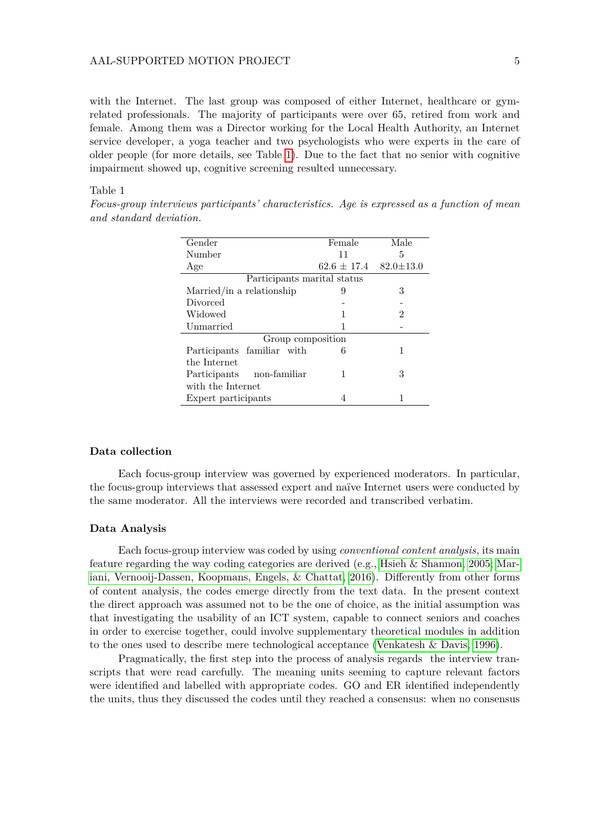with the Internet. The last group was composed of either Internet, healthcare or gymrelated professionals. The majority of participants were over 65, retired from work and female. Among them was a Director working for the Local Health Authority, an Internet service developer, a yoga teacher and two psychologists who were experts in the care of older people (for more details, see Table [1\)](#page-4-0). Due to the fact that no senior with cognitive impairment showed up, cognitive screening resulted unnecessary.

## <span id="page-4-0"></span>Table 1

*Focus-group interviews participants' characteristics. Age is expressed as a function of mean and standard deviation.*

| Gender                      | Female          | Male            |  |  |
|-----------------------------|-----------------|-----------------|--|--|
| Number                      | 11              | 5               |  |  |
| Age                         | $62.6 \pm 17.4$ | $82.0 \pm 13.0$ |  |  |
| Participants marital status |                 |                 |  |  |
| Married/in a relationship   | 9               | 3               |  |  |
| Divorced                    |                 |                 |  |  |
| Widowed                     |                 | $\overline{2}$  |  |  |
| Unmarried                   |                 |                 |  |  |
| Group composition           |                 |                 |  |  |
| Participants familiar with  |                 | 1               |  |  |
| the Internet                |                 |                 |  |  |
| Participants non-familiar   |                 | 3               |  |  |
| with the Internet           |                 |                 |  |  |
| Expert participants         |                 | 1               |  |  |
|                             |                 |                 |  |  |

## **Data collection**

Each focus-group interview was governed by experienced moderators. In particular, the focus-group interviews that assessed expert and naïve Internet users were conducted by the same moderator. All the interviews were recorded and transcribed verbatim.

# **Data Analysis**

Each focus-group interview was coded by using *conventional content analysis*, its main feature regarding the way coding categories are derived (e.g., [Hsieh & Shannon, 2005;](#page-21-11) [Mar](#page-22-9)[iani, Vernooij-Dassen, Koopmans, Engels, & Chattat, 2016\)](#page-22-9). Differently from other forms of content analysis, the codes emerge directly from the text data. In the present context the direct approach was assumed not to be the one of choice, as the initial assumption was that investigating the usability of an ICT system, capable to connect seniors and coaches in order to exercise together, could involve supplementary theoretical modules in addition to the ones used to describe mere technological acceptance [\(Venkatesh & Davis, 1996\)](#page-23-8).

Pragmatically, the first step into the process of analysis regards the interview transcripts that were read carefully. The meaning units seeming to capture relevant factors were identified and labelled with appropriate codes. GO and ER identified independently the units, thus they discussed the codes until they reached a consensus: when no consensus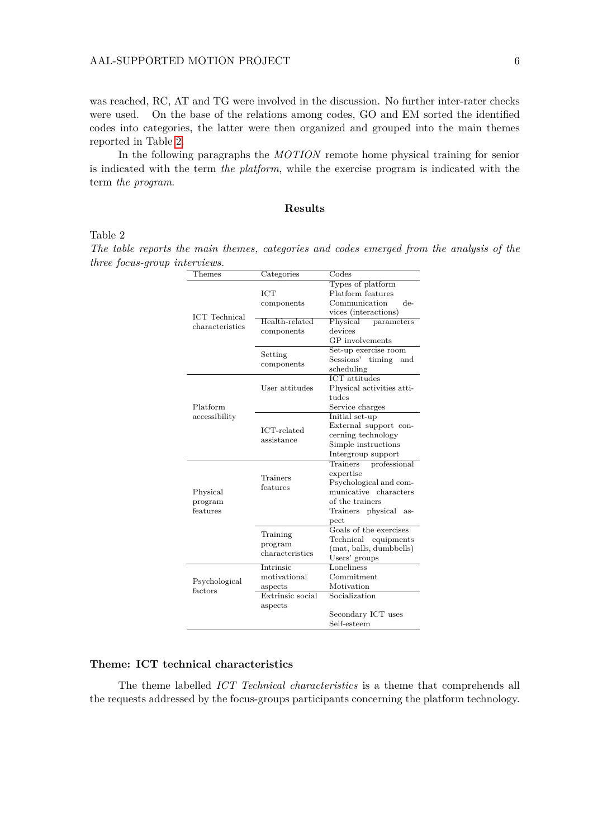was reached, RC, AT and TG were involved in the discussion. No further inter-rater checks were used. On the base of the relations among codes, GO and EM sorted the identified codes into categories, the latter were then organized and grouped into the main themes reported in Table [2.](#page-5-0)

In the following paragraphs the *MOTION* remote home physical training for senior is indicated with the term *the platform*, while the exercise program is indicated with the term *the program*.

# **Results**

# <span id="page-5-0"></span>Table 2

*The table reports the main themes, categories and codes emerged from the analysis of the three focus-group interviews.*

| Themes                                  | Categories                                                                 | $\overline{\text{Codes}}$                                                                                                                       |
|-----------------------------------------|----------------------------------------------------------------------------|-------------------------------------------------------------------------------------------------------------------------------------------------|
| <b>ICT</b> Technical<br>characteristics | ICT<br>components                                                          | Types of platform<br>Platform features<br>Communication<br>de-<br>vices (interactions)                                                          |
|                                         | Health-related<br>components                                               | Physical<br>parameters<br>devices<br>GP involvements                                                                                            |
|                                         | Setting<br>components                                                      | Set-up exercise room<br>Sessions' timing<br>and<br>scheduling                                                                                   |
| Platform<br>accessibility               | User attitudes                                                             | <b>ICT</b> attitudes<br>Physical activities atti-<br>tudes<br>Service charges                                                                   |
|                                         | <b>ICT-related</b><br>assistance                                           | Initial set-up<br>External support con-<br>cerning technology<br>Simple instructions<br>Intergroup support                                      |
| Physical<br>program<br>features         | Trainers<br>features                                                       | professional<br>Trainers<br>expertise<br>Psychological and com-<br>municative characters<br>of the trainers<br>Trainers physical<br>as-<br>pect |
|                                         | Training<br>program<br>characteristics                                     | Goals of the exercises<br>Technical equipments<br>(mat, balls, dumbbells)<br>Users' groups                                                      |
| Psychological<br>factors                | <b>Intrinsic</b><br>motivational<br>aspects<br>Extrinsic social<br>aspects | Loneliness<br>Commitment<br>Motivation<br>Socialization                                                                                         |
|                                         |                                                                            | Secondary ICT uses<br>Self-esteem                                                                                                               |

# **Theme: ICT technical characteristics**

The theme labelled *ICT Technical characteristics* is a theme that comprehends all the requests addressed by the focus-groups participants concerning the platform technology.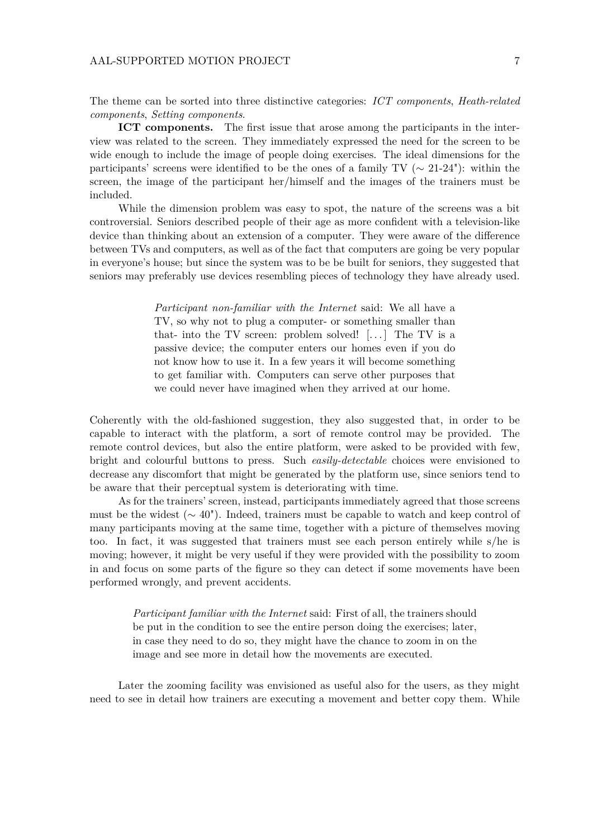The theme can be sorted into three distinctive categories: *ICT components*, *Heath-related components*, *Setting components*.

**ICT components.** The first issue that arose among the participants in the interview was related to the screen. They immediately expressed the need for the screen to be wide enough to include the image of people doing exercises. The ideal dimensions for the participants' screens were identified to be the ones of a family TV ( $\sim 21$ -24"): within the screen, the image of the participant her/himself and the images of the trainers must be included.

While the dimension problem was easy to spot, the nature of the screens was a bit controversial. Seniors described people of their age as more confident with a television-like device than thinking about an extension of a computer. They were aware of the difference between TVs and computers, as well as of the fact that computers are going be very popular in everyone's house; but since the system was to be be built for seniors, they suggested that seniors may preferably use devices resembling pieces of technology they have already used.

> *Participant non-familiar with the Internet* said: We all have a TV, so why not to plug a computer- or something smaller than that- into the TV screen: problem solved!  $[\dots]$  The TV is a passive device; the computer enters our homes even if you do not know how to use it. In a few years it will become something to get familiar with. Computers can serve other purposes that we could never have imagined when they arrived at our home.

Coherently with the old-fashioned suggestion, they also suggested that, in order to be capable to interact with the platform, a sort of remote control may be provided. The remote control devices, but also the entire platform, were asked to be provided with few, bright and colourful buttons to press. Such *easily-detectable* choices were envisioned to decrease any discomfort that might be generated by the platform use, since seniors tend to be aware that their perceptual system is deteriorating with time.

As for the trainers' screen, instead, participants immediately agreed that those screens must be the widest ( $\sim 40$ "). Indeed, trainers must be capable to watch and keep control of many participants moving at the same time, together with a picture of themselves moving too. In fact, it was suggested that trainers must see each person entirely while s/he is moving; however, it might be very useful if they were provided with the possibility to zoom in and focus on some parts of the figure so they can detect if some movements have been performed wrongly, and prevent accidents.

*Participant familiar with the Internet* said: First of all, the trainers should be put in the condition to see the entire person doing the exercises; later, in case they need to do so, they might have the chance to zoom in on the image and see more in detail how the movements are executed.

Later the zooming facility was envisioned as useful also for the users, as they might need to see in detail how trainers are executing a movement and better copy them. While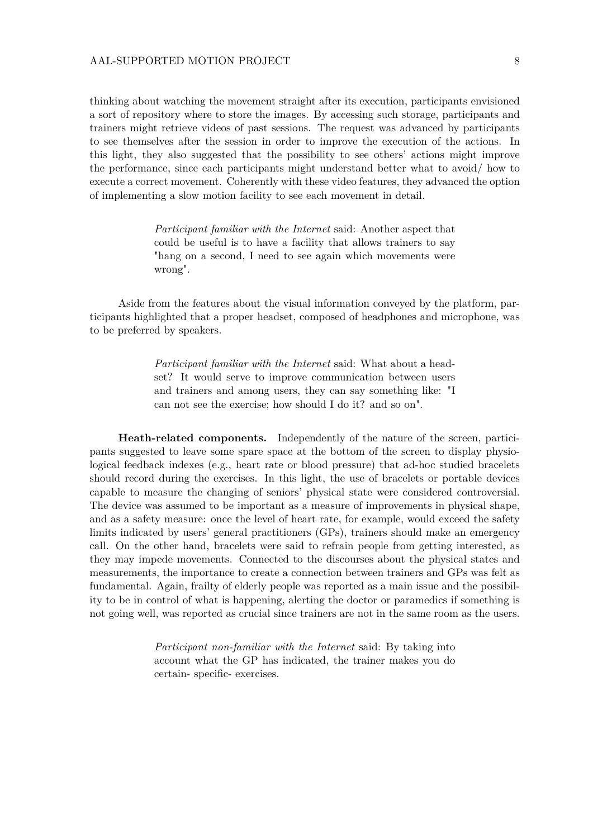thinking about watching the movement straight after its execution, participants envisioned a sort of repository where to store the images. By accessing such storage, participants and trainers might retrieve videos of past sessions. The request was advanced by participants to see themselves after the session in order to improve the execution of the actions. In this light, they also suggested that the possibility to see others' actions might improve the performance, since each participants might understand better what to avoid/ how to execute a correct movement. Coherently with these video features, they advanced the option of implementing a slow motion facility to see each movement in detail.

> *Participant familiar with the Internet* said: Another aspect that could be useful is to have a facility that allows trainers to say "hang on a second, I need to see again which movements were wrong".

Aside from the features about the visual information conveyed by the platform, participants highlighted that a proper headset, composed of headphones and microphone, was to be preferred by speakers.

> *Participant familiar with the Internet* said: What about a headset? It would serve to improve communication between users and trainers and among users, they can say something like: "I can not see the exercise; how should I do it? and so on".

**Heath-related components.** Independently of the nature of the screen, participants suggested to leave some spare space at the bottom of the screen to display physiological feedback indexes (e.g., heart rate or blood pressure) that ad-hoc studied bracelets should record during the exercises. In this light, the use of bracelets or portable devices capable to measure the changing of seniors' physical state were considered controversial. The device was assumed to be important as a measure of improvements in physical shape, and as a safety measure: once the level of heart rate, for example, would exceed the safety limits indicated by users' general practitioners (GPs), trainers should make an emergency call. On the other hand, bracelets were said to refrain people from getting interested, as they may impede movements. Connected to the discourses about the physical states and measurements, the importance to create a connection between trainers and GPs was felt as fundamental. Again, frailty of elderly people was reported as a main issue and the possibility to be in control of what is happening, alerting the doctor or paramedics if something is not going well, was reported as crucial since trainers are not in the same room as the users.

> *Participant non-familiar with the Internet* said: By taking into account what the GP has indicated, the trainer makes you do certain- specific- exercises.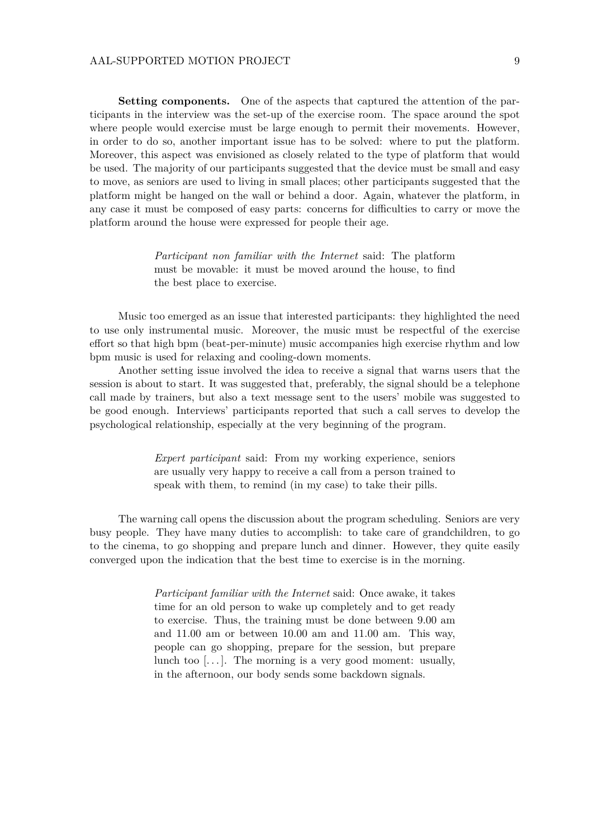**Setting components.** One of the aspects that captured the attention of the participants in the interview was the set-up of the exercise room. The space around the spot where people would exercise must be large enough to permit their movements. However, in order to do so, another important issue has to be solved: where to put the platform. Moreover, this aspect was envisioned as closely related to the type of platform that would be used. The majority of our participants suggested that the device must be small and easy to move, as seniors are used to living in small places; other participants suggested that the platform might be hanged on the wall or behind a door. Again, whatever the platform, in any case it must be composed of easy parts: concerns for difficulties to carry or move the platform around the house were expressed for people their age.

> *Participant non familiar with the Internet* said: The platform must be movable: it must be moved around the house, to find the best place to exercise.

Music too emerged as an issue that interested participants: they highlighted the need to use only instrumental music. Moreover, the music must be respectful of the exercise effort so that high bpm (beat-per-minute) music accompanies high exercise rhythm and low bpm music is used for relaxing and cooling-down moments.

Another setting issue involved the idea to receive a signal that warns users that the session is about to start. It was suggested that, preferably, the signal should be a telephone call made by trainers, but also a text message sent to the users' mobile was suggested to be good enough. Interviews' participants reported that such a call serves to develop the psychological relationship, especially at the very beginning of the program.

> *Expert participant* said: From my working experience, seniors are usually very happy to receive a call from a person trained to speak with them, to remind (in my case) to take their pills.

The warning call opens the discussion about the program scheduling. Seniors are very busy people. They have many duties to accomplish: to take care of grandchildren, to go to the cinema, to go shopping and prepare lunch and dinner. However, they quite easily converged upon the indication that the best time to exercise is in the morning.

> *Participant familiar with the Internet* said: Once awake, it takes time for an old person to wake up completely and to get ready to exercise. Thus, the training must be done between 9.00 am and 11.00 am or between 10.00 am and 11.00 am. This way, people can go shopping, prepare for the session, but prepare lunch too  $[\dots]$ . The morning is a very good moment: usually, in the afternoon, our body sends some backdown signals.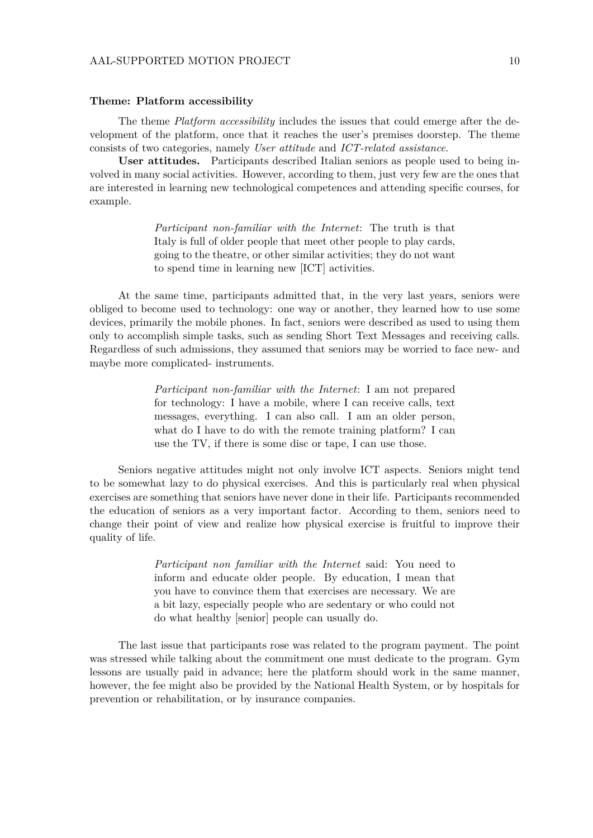## **Theme: Platform accessibility**

The theme *Platform accessibility* includes the issues that could emerge after the development of the platform, once that it reaches the user's premises doorstep. The theme consists of two categories, namely *User attitude* and *ICT-related assistance*.

**User attitudes.** Participants described Italian seniors as people used to being involved in many social activities. However, according to them, just very few are the ones that are interested in learning new technological competences and attending specific courses, for example.

> *Participant non-familiar with the Internet*: The truth is that Italy is full of older people that meet other people to play cards, going to the theatre, or other similar activities; they do not want to spend time in learning new [ICT] activities.

At the same time, participants admitted that, in the very last years, seniors were obliged to become used to technology: one way or another, they learned how to use some devices, primarily the mobile phones. In fact, seniors were described as used to using them only to accomplish simple tasks, such as sending Short Text Messages and receiving calls. Regardless of such admissions, they assumed that seniors may be worried to face new- and maybe more complicated- instruments.

> *Participant non-familiar with the Internet*: I am not prepared for technology: I have a mobile, where I can receive calls, text messages, everything. I can also call. I am an older person, what do I have to do with the remote training platform? I can use the TV, if there is some disc or tape, I can use those.

Seniors negative attitudes might not only involve ICT aspects. Seniors might tend to be somewhat lazy to do physical exercises. And this is particularly real when physical exercises are something that seniors have never done in their life. Participants recommended the education of seniors as a very important factor. According to them, seniors need to change their point of view and realize how physical exercise is fruitful to improve their quality of life.

> *Participant non familiar with the Internet* said: You need to inform and educate older people. By education, I mean that you have to convince them that exercises are necessary. We are a bit lazy, especially people who are sedentary or who could not do what healthy [senior] people can usually do.

The last issue that participants rose was related to the program payment. The point was stressed while talking about the commitment one must dedicate to the program. Gym lessons are usually paid in advance; here the platform should work in the same manner, however, the fee might also be provided by the National Health System, or by hospitals for prevention or rehabilitation, or by insurance companies.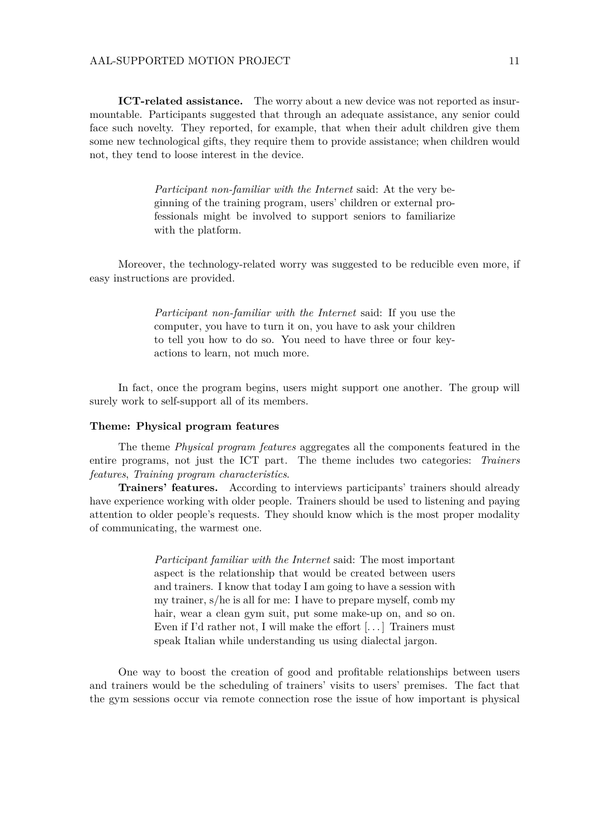**ICT-related assistance.** The worry about a new device was not reported as insurmountable. Participants suggested that through an adequate assistance, any senior could face such novelty. They reported, for example, that when their adult children give them some new technological gifts, they require them to provide assistance; when children would not, they tend to loose interest in the device.

> *Participant non-familiar with the Internet* said: At the very beginning of the training program, users' children or external professionals might be involved to support seniors to familiarize with the platform.

Moreover, the technology-related worry was suggested to be reducible even more, if easy instructions are provided.

> *Participant non-familiar with the Internet* said: If you use the computer, you have to turn it on, you have to ask your children to tell you how to do so. You need to have three or four keyactions to learn, not much more.

In fact, once the program begins, users might support one another. The group will surely work to self-support all of its members.

## **Theme: Physical program features**

The theme *Physical program features* aggregates all the components featured in the entire programs, not just the ICT part. The theme includes two categories: *Trainers features*, *Training program characteristics*.

**Trainers' features.** According to interviews participants' trainers should already have experience working with older people. Trainers should be used to listening and paying attention to older people's requests. They should know which is the most proper modality of communicating, the warmest one.

> *Participant familiar with the Internet* said: The most important aspect is the relationship that would be created between users and trainers. I know that today I am going to have a session with my trainer, s/he is all for me: I have to prepare myself, comb my hair, wear a clean gym suit, put some make-up on, and so on. Even if I'd rather not, I will make the effort  $[...]$  Trainers must speak Italian while understanding us using dialectal jargon.

One way to boost the creation of good and profitable relationships between users and trainers would be the scheduling of trainers' visits to users' premises. The fact that the gym sessions occur via remote connection rose the issue of how important is physical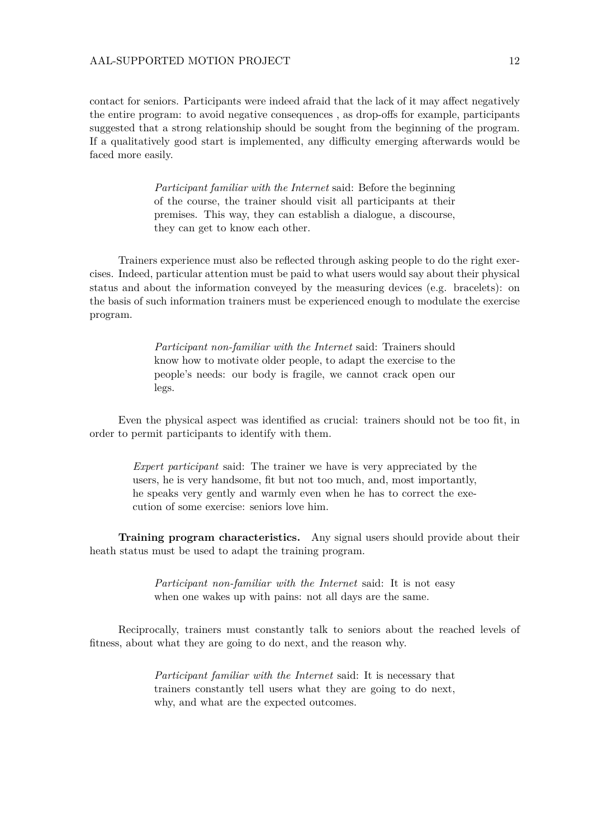contact for seniors. Participants were indeed afraid that the lack of it may affect negatively the entire program: to avoid negative consequences , as drop-offs for example, participants suggested that a strong relationship should be sought from the beginning of the program. If a qualitatively good start is implemented, any difficulty emerging afterwards would be faced more easily.

> *Participant familiar with the Internet* said: Before the beginning of the course, the trainer should visit all participants at their premises. This way, they can establish a dialogue, a discourse, they can get to know each other.

Trainers experience must also be reflected through asking people to do the right exercises. Indeed, particular attention must be paid to what users would say about their physical status and about the information conveyed by the measuring devices (e.g. bracelets): on the basis of such information trainers must be experienced enough to modulate the exercise program.

> *Participant non-familiar with the Internet* said: Trainers should know how to motivate older people, to adapt the exercise to the people's needs: our body is fragile, we cannot crack open our legs.

Even the physical aspect was identified as crucial: trainers should not be too fit, in order to permit participants to identify with them.

*Expert participant* said: The trainer we have is very appreciated by the users, he is very handsome, fit but not too much, and, most importantly, he speaks very gently and warmly even when he has to correct the execution of some exercise: seniors love him.

**Training program characteristics.** Any signal users should provide about their heath status must be used to adapt the training program.

> *Participant non-familiar with the Internet* said: It is not easy when one wakes up with pains: not all days are the same.

Reciprocally, trainers must constantly talk to seniors about the reached levels of fitness, about what they are going to do next, and the reason why.

> *Participant familiar with the Internet* said: It is necessary that trainers constantly tell users what they are going to do next, why, and what are the expected outcomes.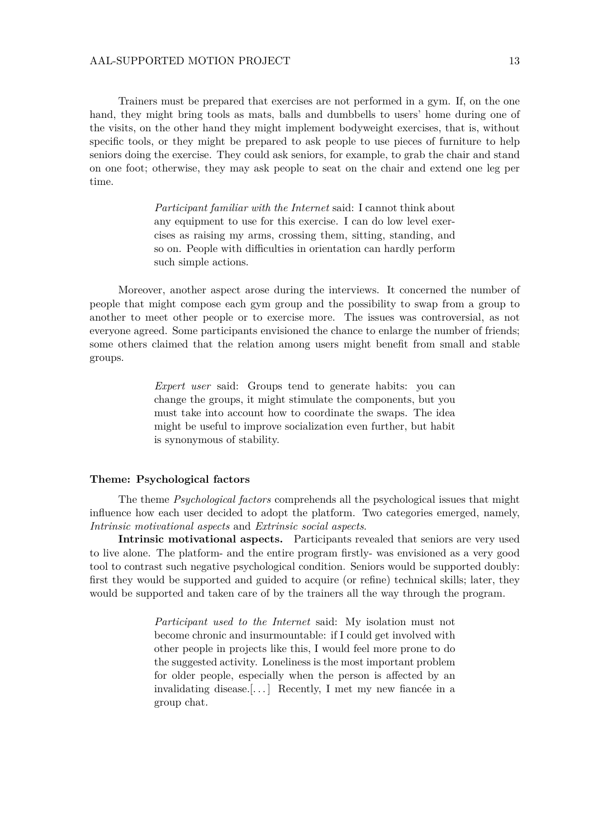Trainers must be prepared that exercises are not performed in a gym. If, on the one hand, they might bring tools as mats, balls and dumbbells to users' home during one of the visits, on the other hand they might implement bodyweight exercises, that is, without specific tools, or they might be prepared to ask people to use pieces of furniture to help seniors doing the exercise. They could ask seniors, for example, to grab the chair and stand on one foot; otherwise, they may ask people to seat on the chair and extend one leg per time.

> *Participant familiar with the Internet* said: I cannot think about any equipment to use for this exercise. I can do low level exercises as raising my arms, crossing them, sitting, standing, and so on. People with difficulties in orientation can hardly perform such simple actions.

Moreover, another aspect arose during the interviews. It concerned the number of people that might compose each gym group and the possibility to swap from a group to another to meet other people or to exercise more. The issues was controversial, as not everyone agreed. Some participants envisioned the chance to enlarge the number of friends; some others claimed that the relation among users might benefit from small and stable groups.

> *Expert user* said: Groups tend to generate habits: you can change the groups, it might stimulate the components, but you must take into account how to coordinate the swaps. The idea might be useful to improve socialization even further, but habit is synonymous of stability.

### **Theme: Psychological factors**

The theme *Psychological factors* comprehends all the psychological issues that might influence how each user decided to adopt the platform. Two categories emerged, namely, *Intrinsic motivational aspects* and *Extrinsic social aspects*.

**Intrinsic motivational aspects.** Participants revealed that seniors are very used to live alone. The platform- and the entire program firstly- was envisioned as a very good tool to contrast such negative psychological condition. Seniors would be supported doubly: first they would be supported and guided to acquire (or refine) technical skills; later, they would be supported and taken care of by the trainers all the way through the program.

> *Participant used to the Internet* said: My isolation must not become chronic and insurmountable: if I could get involved with other people in projects like this, I would feel more prone to do the suggested activity. Loneliness is the most important problem for older people, especially when the person is affected by an invalidating disease.[. . . ] Recently, I met my new fiancée in a group chat.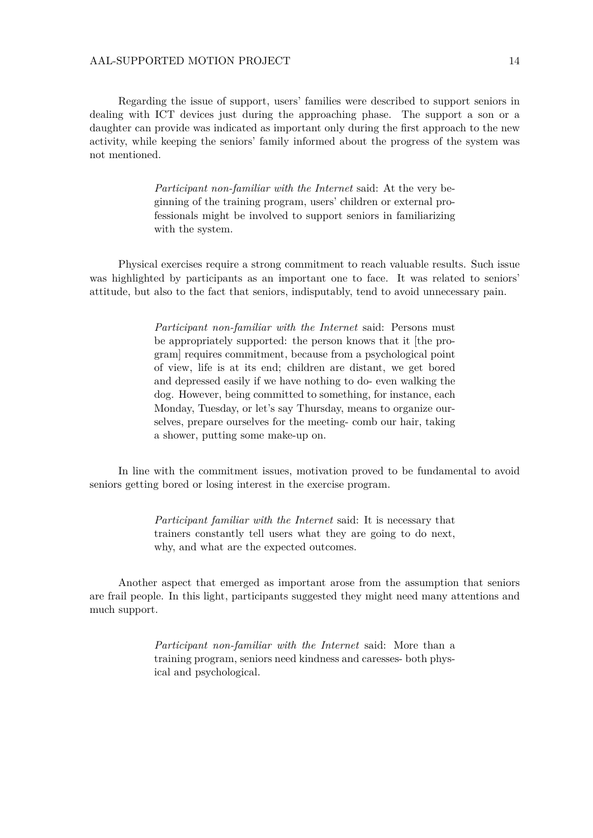Regarding the issue of support, users' families were described to support seniors in dealing with ICT devices just during the approaching phase. The support a son or a daughter can provide was indicated as important only during the first approach to the new activity, while keeping the seniors' family informed about the progress of the system was not mentioned.

> *Participant non-familiar with the Internet* said: At the very beginning of the training program, users' children or external professionals might be involved to support seniors in familiarizing with the system.

Physical exercises require a strong commitment to reach valuable results. Such issue was highlighted by participants as an important one to face. It was related to seniors' attitude, but also to the fact that seniors, indisputably, tend to avoid unnecessary pain.

> *Participant non-familiar with the Internet* said: Persons must be appropriately supported: the person knows that it [the program] requires commitment, because from a psychological point of view, life is at its end; children are distant, we get bored and depressed easily if we have nothing to do- even walking the dog. However, being committed to something, for instance, each Monday, Tuesday, or let's say Thursday, means to organize ourselves, prepare ourselves for the meeting- comb our hair, taking a shower, putting some make-up on.

In line with the commitment issues, motivation proved to be fundamental to avoid seniors getting bored or losing interest in the exercise program.

> *Participant familiar with the Internet* said: It is necessary that trainers constantly tell users what they are going to do next, why, and what are the expected outcomes.

Another aspect that emerged as important arose from the assumption that seniors are frail people. In this light, participants suggested they might need many attentions and much support.

> *Participant non-familiar with the Internet* said: More than a training program, seniors need kindness and caresses- both physical and psychological.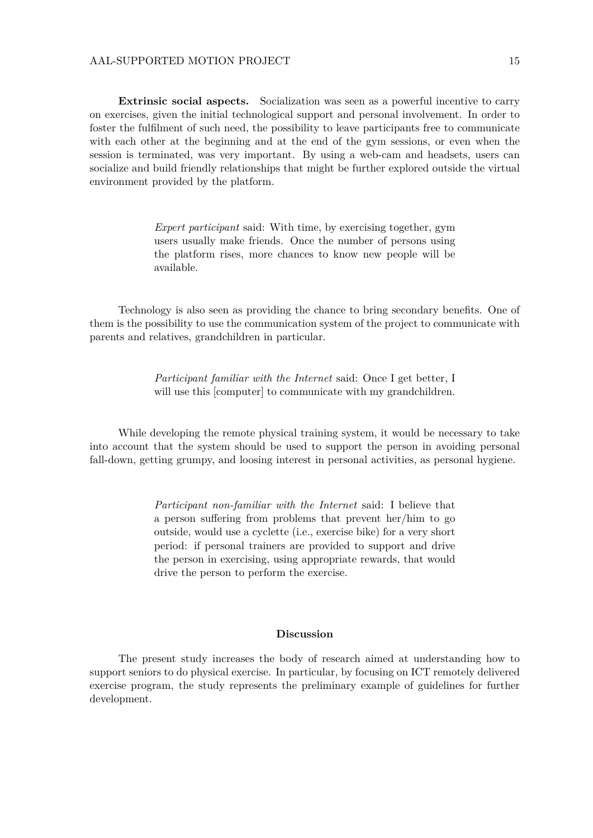**Extrinsic social aspects.** Socialization was seen as a powerful incentive to carry on exercises, given the initial technological support and personal involvement. In order to foster the fulfilment of such need, the possibility to leave participants free to communicate with each other at the beginning and at the end of the gym sessions, or even when the session is terminated, was very important. By using a web-cam and headsets, users can socialize and build friendly relationships that might be further explored outside the virtual environment provided by the platform.

> *Expert participant* said: With time, by exercising together, gym users usually make friends. Once the number of persons using the platform rises, more chances to know new people will be available.

Technology is also seen as providing the chance to bring secondary benefits. One of them is the possibility to use the communication system of the project to communicate with parents and relatives, grandchildren in particular.

> *Participant familiar with the Internet* said: Once I get better, I will use this [computer] to communicate with my grandchildren.

While developing the remote physical training system, it would be necessary to take into account that the system should be used to support the person in avoiding personal fall-down, getting grumpy, and loosing interest in personal activities, as personal hygiene.

> *Participant non-familiar with the Internet* said: I believe that a person suffering from problems that prevent her/him to go outside, would use a cyclette (i.e., exercise bike) for a very short period: if personal trainers are provided to support and drive the person in exercising, using appropriate rewards, that would drive the person to perform the exercise.

#### **Discussion**

The present study increases the body of research aimed at understanding how to support seniors to do physical exercise. In particular, by focusing on ICT remotely delivered exercise program, the study represents the preliminary example of guidelines for further development.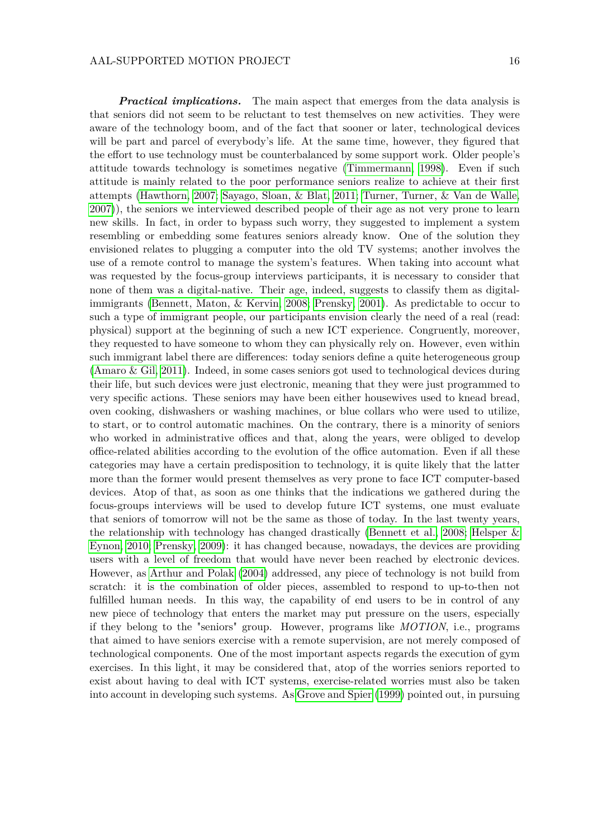*Practical implications.* The main aspect that emerges from the data analysis is that seniors did not seem to be reluctant to test themselves on new activities. They were aware of the technology boom, and of the fact that sooner or later, technological devices will be part and parcel of everybody's life. At the same time, however, they figured that the effort to use technology must be counterbalanced by some support work. Older people's attitude towards technology is sometimes negative [\(Timmermann, 1998\)](#page-23-9). Even if such attitude is mainly related to the poor performance seniors realize to achieve at their first attempts [\(Hawthorn, 2007;](#page-21-12) [Sayago, Sloan, & Blat, 2011;](#page-22-10) [Turner, Turner, & Van de Walle,](#page-23-10) [2007\)](#page-23-10)), the seniors we interviewed described people of their age as not very prone to learn new skills. In fact, in order to bypass such worry, they suggested to implement a system resembling or embedding some features seniors already know. One of the solution they envisioned relates to plugging a computer into the old TV systems; another involves the use of a remote control to manage the system's features. When taking into account what was requested by the focus-group interviews participants, it is necessary to consider that none of them was a digital-native. Their age, indeed, suggests to classify them as digitalimmigrants [\(Bennett, Maton, & Kervin, 2008;](#page-20-14) [Prensky, 2001\)](#page-22-11). As predictable to occur to such a type of immigrant people, our participants envision clearly the need of a real (read: physical) support at the beginning of such a new ICT experience. Congruently, moreover, they requested to have someone to whom they can physically rely on. However, even within such immigrant label there are differences: today seniors define a quite heterogeneous group [\(Amaro & Gil, 2011\)](#page-20-15). Indeed, in some cases seniors got used to technological devices during their life, but such devices were just electronic, meaning that they were just programmed to very specific actions. These seniors may have been either housewives used to knead bread, oven cooking, dishwashers or washing machines, or blue collars who were used to utilize, to start, or to control automatic machines. On the contrary, there is a minority of seniors who worked in administrative offices and that, along the years, were obliged to develop office-related abilities according to the evolution of the office automation. Even if all these categories may have a certain predisposition to technology, it is quite likely that the latter more than the former would present themselves as very prone to face ICT computer-based devices. Atop of that, as soon as one thinks that the indications we gathered during the focus-groups interviews will be used to develop future ICT systems, one must evaluate that seniors of tomorrow will not be the same as those of today. In the last twenty years, the relationship with technology has changed drastically [\(Bennett et al., 2008;](#page-20-14) [Helsper &](#page-21-13) [Eynon, 2010;](#page-21-13) [Prensky, 2009\)](#page-22-12): it has changed because, nowadays, the devices are providing users with a level of freedom that would have never been reached by electronic devices. However, as [Arthur and Polak](#page-20-16) [\(2004\)](#page-20-16) addressed, any piece of technology is not build from scratch: it is the combination of older pieces, assembled to respond to up-to-then not fulfilled human needs. In this way, the capability of end users to be in control of any new piece of technology that enters the market may put pressure on the users, especially if they belong to the "seniors" group. However, programs like *MOTION*, i.e., programs that aimed to have seniors exercise with a remote supervision, are not merely composed of technological components. One of the most important aspects regards the execution of gym exercises. In this light, it may be considered that, atop of the worries seniors reported to exist about having to deal with ICT systems, exercise-related worries must also be taken into account in developing such systems. As [Grove and Spier](#page-21-14) [\(1999\)](#page-21-14) pointed out, in pursuing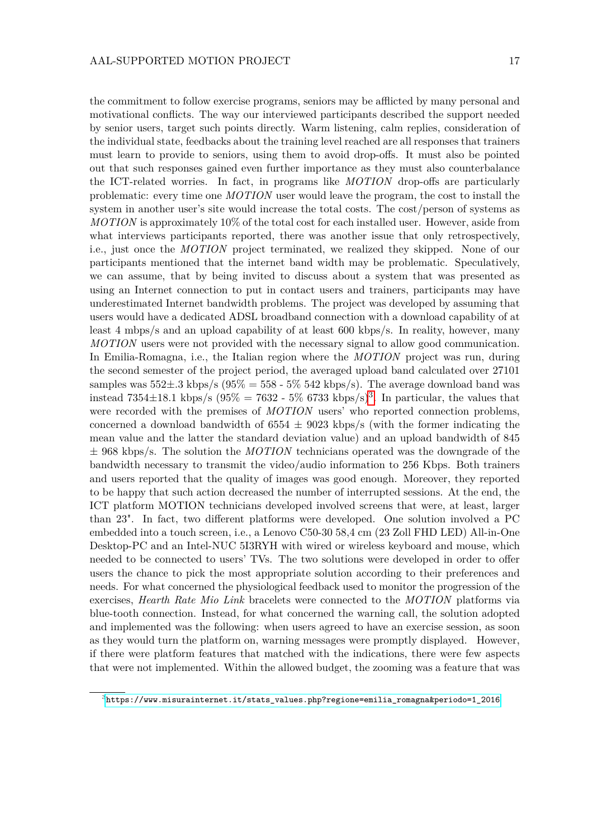the commitment to follow exercise programs, seniors may be afflicted by many personal and motivational conflicts. The way our interviewed participants described the support needed by senior users, target such points directly. Warm listening, calm replies, consideration of the individual state, feedbacks about the training level reached are all responses that trainers must learn to provide to seniors, using them to avoid drop-offs. It must also be pointed out that such responses gained even further importance as they must also counterbalance the ICT-related worries. In fact, in programs like *MOTION* drop-offs are particularly problematic: every time one *MOTION* user would leave the program, the cost to install the system in another user's site would increase the total costs. The cost/person of systems as *MOTION* is approximately 10% of the total cost for each installed user. However, aside from what interviews participants reported, there was another issue that only retrospectively, i.e., just once the *MOTION* project terminated, we realized they skipped. None of our participants mentioned that the internet band width may be problematic. Speculatively, we can assume, that by being invited to discuss about a system that was presented as using an Internet connection to put in contact users and trainers, participants may have underestimated Internet bandwidth problems. The project was developed by assuming that users would have a dedicated ADSL broadband connection with a download capability of at least 4 mbps/s and an upload capability of at least 600 kbps/s. In reality, however, many *MOTION* users were not provided with the necessary signal to allow good communication. In Emilia-Romagna, i.e., the Italian region where the *MOTION* project was run, during the second semester of the project period, the averaged upload band calculated over 27101 samples was  $552\pm.3$  kbps/s  $(95\% = 558 - 5\% 542$  kbps/s). The average download band was instead 7[3](#page-16-0)54 $\pm$ 18.1 kbps/s (95% = 7632 - 5% 6733 kbps/s)<sup>3</sup>. In particular, the values that were recorded with the premises of *MOTION* users' who reported connection problems, concerned a download bandwidth of  $6554 \pm 9023$  kbps/s (with the former indicating the mean value and the latter the standard deviation value) and an upload bandwidth of 845 ± 968 kbps/s. The solution the *MOTION* technicians operated was the downgrade of the bandwidth necessary to transmit the video/audio information to 256 Kbps. Both trainers and users reported that the quality of images was good enough. Moreover, they reported to be happy that such action decreased the number of interrupted sessions. At the end, the ICT platform MOTION technicians developed involved screens that were, at least, larger than 23". In fact, two different platforms were developed. One solution involved a PC embedded into a touch screen, i.e., a Lenovo C50-30 58,4 cm (23 Zoll FHD LED) All-in-One Desktop-PC and an Intel-NUC 5I3RYH with wired or wireless keyboard and mouse, which needed to be connected to users' TVs. The two solutions were developed in order to offer users the chance to pick the most appropriate solution according to their preferences and needs. For what concerned the physiological feedback used to monitor the progression of the exercises, *Hearth Rate Mio Link* bracelets were connected to the *MOTION* platforms via blue-tooth connection. Instead, for what concerned the warning call, the solution adopted and implemented was the following: when users agreed to have an exercise session, as soon as they would turn the platform on, warning messages were promptly displayed. However, if there were platform features that matched with the indications, there were few aspects that were not implemented. Within the allowed budget, the zooming was a feature that was

<span id="page-16-0"></span> $^3$ [https://www.misurainternet.it/stats\\_values.php?regione=emilia\\_romagna&periodo=1\\_2016](https://www.misurainternet.it/stats_values.php?regione=emilia_romagna&periodo=1_2016)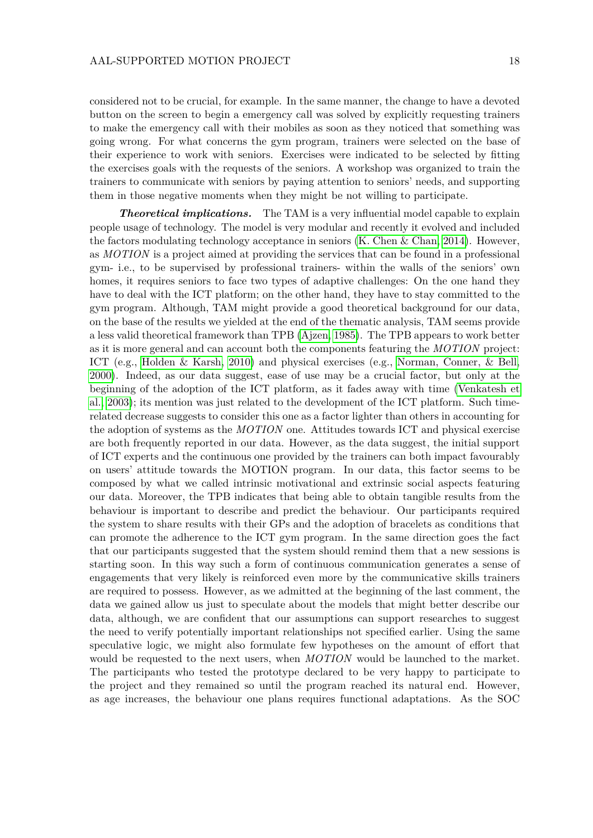considered not to be crucial, for example. In the same manner, the change to have a devoted button on the screen to begin a emergency call was solved by explicitly requesting trainers to make the emergency call with their mobiles as soon as they noticed that something was going wrong. For what concerns the gym program, trainers were selected on the base of their experience to work with seniors. Exercises were indicated to be selected by fitting the exercises goals with the requests of the seniors. A workshop was organized to train the trainers to communicate with seniors by paying attention to seniors' needs, and supporting them in those negative moments when they might be not willing to participate.

*Theoretical implications.* The TAM is a very influential model capable to explain people usage of technology. The model is very modular and recently it evolved and included the factors modulating technology acceptance in seniors [\(K. Chen & Chan, 2014\)](#page-20-17). However, as *MOTION* is a project aimed at providing the services that can be found in a professional gym- i.e., to be supervised by professional trainers- within the walls of the seniors' own homes, it requires seniors to face two types of adaptive challenges: On the one hand they have to deal with the ICT platform; on the other hand, they have to stay committed to the gym program. Although, TAM might provide a good theoretical background for our data, on the base of the results we yielded at the end of the thematic analysis, TAM seems provide a less valid theoretical framework than TPB [\(Ajzen, 1985\)](#page-20-12). The TPB appears to work better as it is more general and can account both the components featuring the *MOTION* project: ICT (e.g., [Holden & Karsh, 2010\)](#page-21-8) and physical exercises (e.g., [Norman, Conner, & Bell,](#page-22-13) [2000\)](#page-22-13). Indeed, as our data suggest, ease of use may be a crucial factor, but only at the beginning of the adoption of the ICT platform, as it fades away with time [\(Venkatesh et](#page-23-6) [al., 2003\)](#page-23-6); its mention was just related to the development of the ICT platform. Such timerelated decrease suggests to consider this one as a factor lighter than others in accounting for the adoption of systems as the *MOTION* one. Attitudes towards ICT and physical exercise are both frequently reported in our data. However, as the data suggest, the initial support of ICT experts and the continuous one provided by the trainers can both impact favourably on users' attitude towards the MOTION program. In our data, this factor seems to be composed by what we called intrinsic motivational and extrinsic social aspects featuring our data. Moreover, the TPB indicates that being able to obtain tangible results from the behaviour is important to describe and predict the behaviour. Our participants required the system to share results with their GPs and the adoption of bracelets as conditions that can promote the adherence to the ICT gym program. In the same direction goes the fact that our participants suggested that the system should remind them that a new sessions is starting soon. In this way such a form of continuous communication generates a sense of engagements that very likely is reinforced even more by the communicative skills trainers are required to possess. However, as we admitted at the beginning of the last comment, the data we gained allow us just to speculate about the models that might better describe our data, although, we are confident that our assumptions can support researches to suggest the need to verify potentially important relationships not specified earlier. Using the same speculative logic, we might also formulate few hypotheses on the amount of effort that would be requested to the next users, when *MOTION* would be launched to the market. The participants who tested the prototype declared to be very happy to participate to the project and they remained so until the program reached its natural end. However, as age increases, the behaviour one plans requires functional adaptations. As the SOC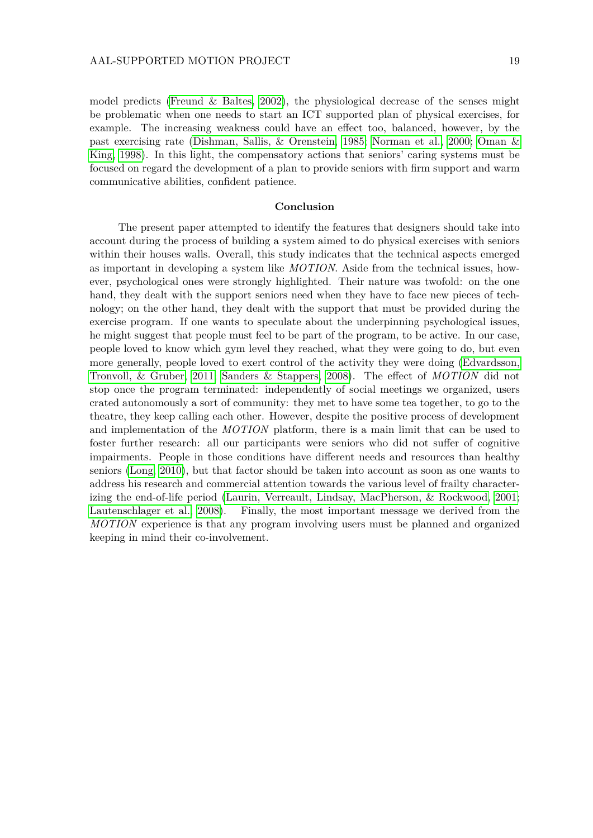model predicts [\(Freund & Baltes, 2002\)](#page-21-15), the physiological decrease of the senses might be problematic when one needs to start an ICT supported plan of physical exercises, for example. The increasing weakness could have an effect too, balanced, however, by the past exercising rate [\(Dishman, Sallis, & Orenstein, 1985;](#page-21-16) [Norman et al., 2000;](#page-22-13) [Oman &](#page-22-14) [King, 1998\)](#page-22-14). In this light, the compensatory actions that seniors' caring systems must be focused on regard the development of a plan to provide seniors with firm support and warm communicative abilities, confident patience.

## **Conclusion**

The present paper attempted to identify the features that designers should take into account during the process of building a system aimed to do physical exercises with seniors within their houses walls. Overall, this study indicates that the technical aspects emerged as important in developing a system like *MOTION*. Aside from the technical issues, however, psychological ones were strongly highlighted. Their nature was twofold: on the one hand, they dealt with the support seniors need when they have to face new pieces of technology; on the other hand, they dealt with the support that must be provided during the exercise program. If one wants to speculate about the underpinning psychological issues, he might suggest that people must feel to be part of the program, to be active. In our case, people loved to know which gym level they reached, what they were going to do, but even more generally, people loved to exert control of the activity they were doing [\(Edvardsson,](#page-21-17) [Tronvoll, & Gruber, 2011;](#page-21-17) [Sanders & Stappers, 2008\)](#page-22-15). The effect of *MOTION* did not stop once the program terminated: independently of social meetings we organized, users crated autonomously a sort of community: they met to have some tea together, to go to the theatre, they keep calling each other. However, despite the positive process of development and implementation of the *MOTION* platform, there is a main limit that can be used to foster further research: all our participants were seniors who did not suffer of cognitive impairments. People in those conditions have different needs and resources than healthy seniors [\(Long, 2010\)](#page-22-16), but that factor should be taken into account as soon as one wants to address his research and commercial attention towards the various level of frailty characterizing the end-of-life period [\(Laurin, Verreault, Lindsay, MacPherson, & Rockwood, 2001;](#page-22-17) [Lautenschlager et al., 2008\)](#page-22-18). Finally, the most important message we derived from the *MOTION* experience is that any program involving users must be planned and organized keeping in mind their co-involvement.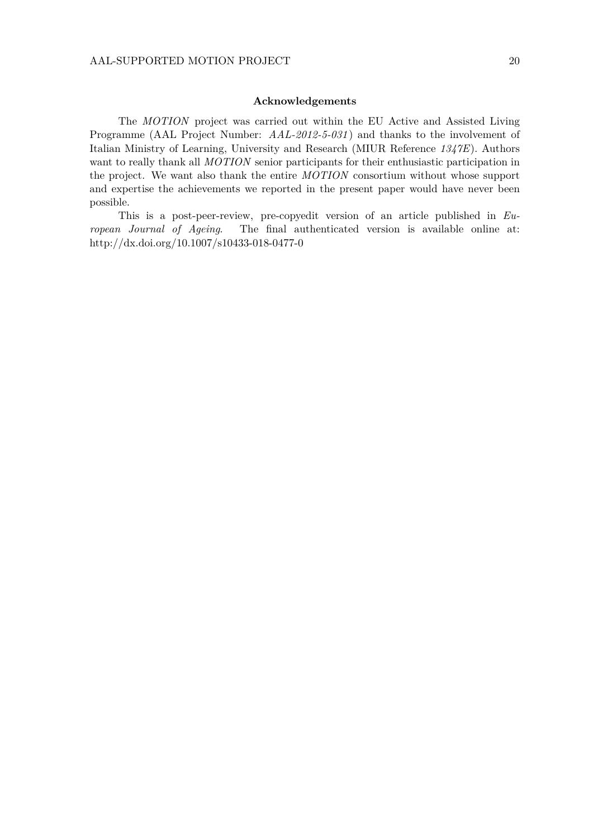## **Acknowledgements**

The *MOTION* project was carried out within the EU Active and Assisted Living Programme (AAL Project Number: *AAL-2012-5-031* ) and thanks to the involvement of Italian Ministry of Learning, University and Research (MIUR Reference *1347E*). Authors want to really thank all *MOTION* senior participants for their enthusiastic participation in the project. We want also thank the entire *MOTION* consortium without whose support and expertise the achievements we reported in the present paper would have never been possible.

This is a post-peer-review, pre-copyedit version of an article published in *European Journal of Ageing*. The final authenticated version is available online at: http://dx.doi.org/10.1007/s10433-018-0477-0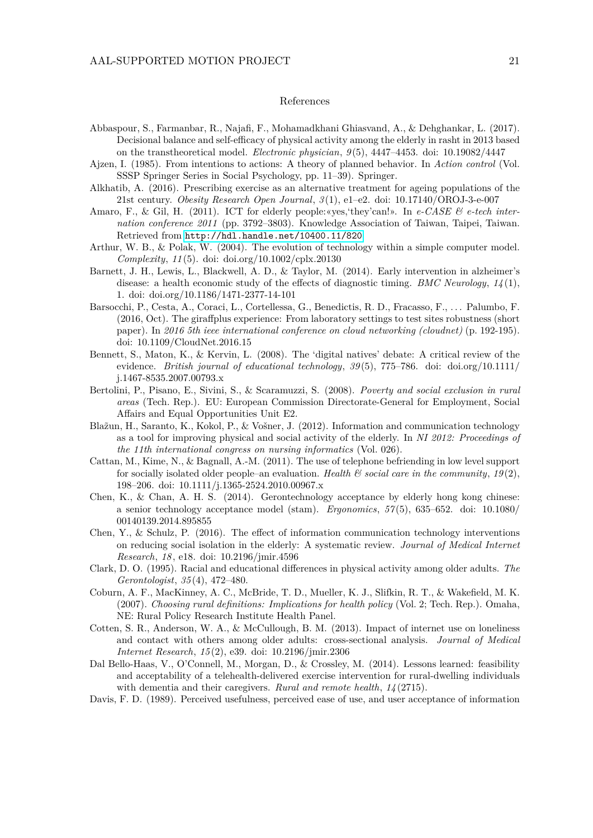#### References

- <span id="page-20-2"></span>Abbaspour, S., Farmanbar, R., Najafi, F., Mohamadkhani Ghiasvand, A., & Dehghankar, L. (2017). Decisional balance and self-efficacy of physical activity among the elderly in rasht in 2013 based on the transtheoretical model. *Electronic physician*, *9* (5), 4447–4453. doi: 10.19082/4447
- <span id="page-20-12"></span>Ajzen, I. (1985). From intentions to actions: A theory of planned behavior. In *Action control* (Vol. SSSP Springer Series in Social Psychology, pp. 11–39). Springer.
- <span id="page-20-1"></span>Alkhatib, A. (2016). Prescribing exercise as an alternative treatment for ageing populations of the 21st century. *Obesity Research Open Journal*, *3* (1), e1–e2. doi: 10.17140/OROJ-3-e-007
- <span id="page-20-15"></span>Amaro, F., & Gil, H. (2011). ICT for elderly people:«yes,'they'can!». In *e-CASE & e-tech internation conference 2011* (pp. 3792–3803). Knowledge Association of Taiwan, Taipei, Taiwan. Retrieved from <http://hdl.handle.net/10400.11/820>
- <span id="page-20-16"></span>Arthur, W. B., & Polak, W. (2004). The evolution of technology within a simple computer model. *Complexity*, *11* (5). doi: doi.org/10.1002/cplx.20130
- <span id="page-20-0"></span>Barnett, J. H., Lewis, L., Blackwell, A. D., & Taylor, M. (2014). Early intervention in alzheimer's disease: a health economic study of the effects of diagnostic timing. *BMC Neurology*, *14* (1), 1. doi: doi.org/10.1186/1471-2377-14-101
- <span id="page-20-13"></span>Barsocchi, P., Cesta, A., Coraci, L., Cortellessa, G., Benedictis, R. D., Fracasso, F., . . . Palumbo, F. (2016, Oct). The giraffplus experience: From laboratory settings to test sites robustness (short paper). In *2016 5th ieee international conference on cloud networking (cloudnet)* (p. 192-195). doi: 10.1109/CloudNet.2016.15
- <span id="page-20-14"></span>Bennett, S., Maton, K., & Kervin, L. (2008). The 'digital natives' debate: A critical review of the evidence. *British journal of educational technology*, *39* (5), 775–786. doi: doi.org/10.1111/ j.1467-8535.2007.00793.x
- <span id="page-20-5"></span>Bertolini, P., Pisano, E., Sivini, S., & Scaramuzzi, S. (2008). *Poverty and social exclusion in rural areas* (Tech. Rep.). EU: European Commission Directorate-General for Employment, Social Affairs and Equal Opportunities Unit E2.
- <span id="page-20-7"></span>Bla˜zun, H., Saranto, K., Kokol, P., & Vošner, J. (2012). Information and communication technology as a tool for improving physical and social activity of the elderly. In *NI 2012: Proceedings of the 11th international congress on nursing informatics* (Vol. 026).
- <span id="page-20-9"></span>Cattan, M., Kime, N., & Bagnall, A.-M. (2011). The use of telephone befriending in low level support for socially isolated older people–an evaluation. *Health*  $\&$  *social care in the community*,  $19(2)$ , 198–206. doi: 10.1111/j.1365-2524.2010.00967.x
- <span id="page-20-17"></span>Chen, K., & Chan, A. H. S. (2014). Gerontechnology acceptance by elderly hong kong chinese: a senior technology acceptance model (stam). *Ergonomics*, *57* (5), 635–652. doi: 10.1080/ 00140139.2014.895855
- <span id="page-20-6"></span>Chen, Y., & Schulz, P. (2016). The effect of information communication technology interventions on reducing social isolation in the elderly: A systematic review. *Journal of Medical Internet Research*, *18* , e18. doi: 10.2196/jmir.4596
- <span id="page-20-4"></span>Clark, D. O. (1995). Racial and educational differences in physical activity among older adults. *The Gerontologist*, *35* (4), 472–480.
- <span id="page-20-3"></span>Coburn, A. F., MacKinney, A. C., McBride, T. D., Mueller, K. J., Slifkin, R. T., & Wakefield, M. K. (2007). *Choosing rural definitions: Implications for health policy* (Vol. 2; Tech. Rep.). Omaha, NE: Rural Policy Research Institute Health Panel.
- <span id="page-20-8"></span>Cotten, S. R., Anderson, W. A., & McCullough, B. M. (2013). Impact of internet use on loneliness and contact with others among older adults: cross-sectional analysis. *Journal of Medical Internet Research*, *15* (2), e39. doi: 10.2196/jmir.2306
- <span id="page-20-10"></span>Dal Bello-Haas, V., O'Connell, M., Morgan, D., & Crossley, M. (2014). Lessons learned: feasibility and acceptability of a telehealth-delivered exercise intervention for rural-dwelling individuals with dementia and their caregivers. *Rural and remote health*, *14* (2715).
- <span id="page-20-11"></span>Davis, F. D. (1989). Perceived usefulness, perceived ease of use, and user acceptance of information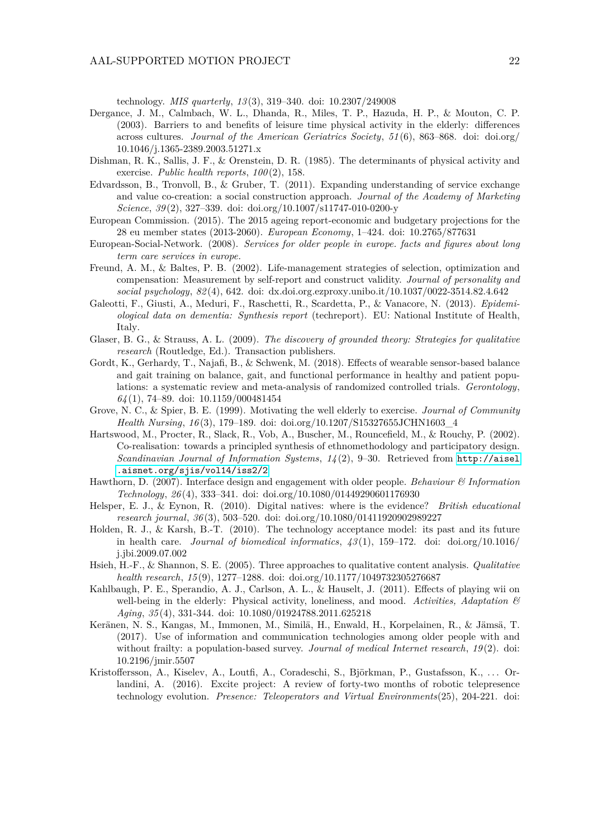technology. *MIS quarterly*, *13* (3), 319–340. doi: 10.2307/249008

- <span id="page-21-3"></span>Dergance, J. M., Calmbach, W. L., Dhanda, R., Miles, T. P., Hazuda, H. P., & Mouton, C. P. (2003). Barriers to and benefits of leisure time physical activity in the elderly: differences across cultures. *Journal of the American Geriatrics Society*, *51* (6), 863–868. doi: doi.org/ 10.1046/j.1365-2389.2003.51271.x
- <span id="page-21-16"></span>Dishman, R. K., Sallis, J. F., & Orenstein, D. R. (1985). The determinants of physical activity and exercise. *Public health reports*, *100* (2), 158.
- <span id="page-21-17"></span>Edvardsson, B., Tronvoll, B., & Gruber, T. (2011). Expanding understanding of service exchange and value co-creation: a social construction approach. *Journal of the Academy of Marketing Science*, *39* (2), 327–339. doi: doi.org/10.1007/s11747-010-0200-y
- <span id="page-21-2"></span>European Commission. (2015). The 2015 ageing report-economic and budgetary projections for the 28 eu member states (2013-2060). *European Economy*, 1–424. doi: 10.2765/877631
- <span id="page-21-0"></span>European-Social-Network. (2008). *Services for older people in europe. facts and figures about long term care services in europe.*
- <span id="page-21-15"></span>Freund, A. M., & Baltes, P. B. (2002). Life-management strategies of selection, optimization and compensation: Measurement by self-report and construct validity. *Journal of personality and social psychology*, *82* (4), 642. doi: dx.doi.org.ezproxy.unibo.it/10.1037/0022-3514.82.4.642
- <span id="page-21-1"></span>Galeotti, F., Giusti, A., Meduri, F., Raschetti, R., Scardetta, P., & Vanacore, N. (2013). *Epidemiological data on dementia: Synthesis report* (techreport). EU: National Institute of Health, Italy.
- <span id="page-21-10"></span>Glaser, B. G., & Strauss, A. L. (2009). *The discovery of grounded theory: Strategies for qualitative research* (Routledge, Ed.). Transaction publishers.
- <span id="page-21-5"></span>Gordt, K., Gerhardy, T., Najafi, B., & Schwenk, M. (2018). Effects of wearable sensor-based balance and gait training on balance, gait, and functional performance in healthy and patient populations: a systematic review and meta-analysis of randomized controlled trials. *Gerontology*, *64* (1), 74–89. doi: 10.1159/000481454
- <span id="page-21-14"></span>Grove, N. C., & Spier, B. E. (1999). Motivating the well elderly to exercise. *Journal of Community Health Nursing*, *16* (3), 179–189. doi: doi.org/10.1207/S15327655JCHN1603\_4
- <span id="page-21-7"></span>Hartswood, M., Procter, R., Slack, R., Vob, A., Buscher, M., Rouncefield, M., & Rouchy, P. (2002). Co-realisation: towards a principled synthesis of ethnomethodology and participatory design. *Scandinavian Journal of Information Systems*, *14* (2), 9–30. Retrieved from [http://aisel](http://aisel.aisnet.org/sjis/vol14/iss2/2) [.aisnet.org/sjis/vol14/iss2/2](http://aisel.aisnet.org/sjis/vol14/iss2/2)
- <span id="page-21-12"></span>Hawthorn, D. (2007). Interface design and engagement with older people. *Behaviour & Information Technology*, *26* (4), 333–341. doi: doi.org/10.1080/01449290601176930
- <span id="page-21-13"></span>Helsper, E. J., & Eynon, R. (2010). Digital natives: where is the evidence? *British educational research journal*, *36* (3), 503–520. doi: doi.org/10.1080/01411920902989227
- <span id="page-21-8"></span>Holden, R. J., & Karsh, B.-T. (2010). The technology acceptance model: its past and its future in health care. *Journal of biomedical informatics*, *43* (1), 159–172. doi: doi.org/10.1016/ j.jbi.2009.07.002
- <span id="page-21-11"></span>Hsieh, H.-F., & Shannon, S. E. (2005). Three approaches to qualitative content analysis. *Qualitative health research*, *15* (9), 1277–1288. doi: doi.org/10.1177/1049732305276687
- <span id="page-21-4"></span>Kahlbaugh, P. E., Sperandio, A. J., Carlson, A. L., & Hauselt, J. (2011). Effects of playing wii on well-being in the elderly: Physical activity, loneliness, and mood. *Activities, Adaptation & Aging*, *35* (4), 331-344. doi: 10.1080/01924788.2011.625218
- <span id="page-21-6"></span>Keränen, N. S., Kangas, M., Immonen, M., Similä, H., Enwald, H., Korpelainen, R., & Jämsä, T. (2017). Use of information and communication technologies among older people with and without frailty: a population-based survey. *Journal of medical Internet research*, 19(2). doi: 10.2196/jmir.5507
- <span id="page-21-9"></span>Kristoffersson, A., Kiselev, A., Loutfi, A., Coradeschi, S., Björkman, P., Gustafsson, K., . . . Orlandini, A. (2016). Excite project: A review of forty-two months of robotic telepresence technology evolution. *Presence: Teleoperators and Virtual Environments*(25), 204-221. doi: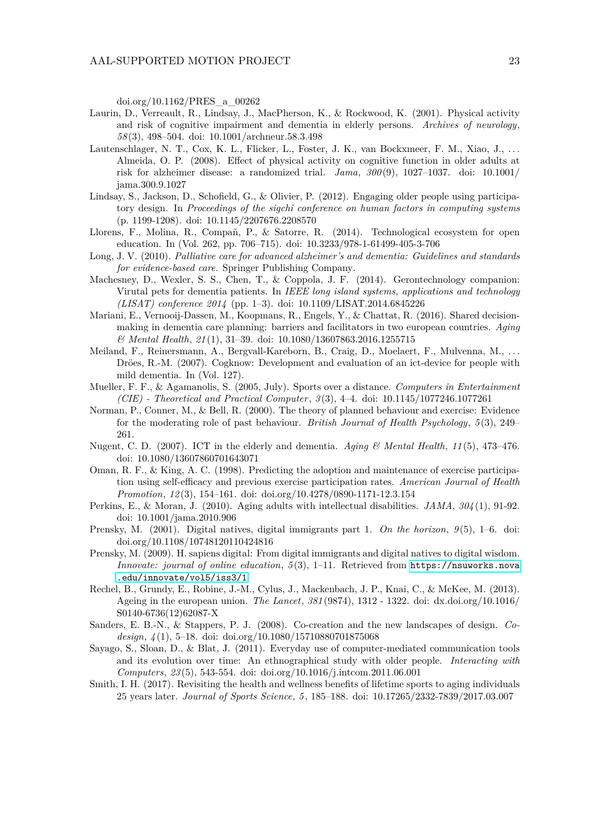doi.org/10.1162/PRES\_a\_00262

- <span id="page-22-17"></span>Laurin, D., Verreault, R., Lindsay, J., MacPherson, K., & Rockwood, K. (2001). Physical activity and risk of cognitive impairment and dementia in elderly persons. *Archives of neurology*, *58* (3), 498–504. doi: 10.1001/archneur.58.3.498
- <span id="page-22-18"></span>Lautenschlager, N. T., Cox, K. L., Flicker, L., Foster, J. K., van Bockxmeer, F. M., Xiao, J., ... Almeida, O. P. (2008). Effect of physical activity on cognitive function in older adults at risk for alzheimer disease: a randomized trial. *Jama*, *300* (9), 1027–1037. doi: 10.1001/ jama.300.9.1027
- <span id="page-22-7"></span>Lindsay, S., Jackson, D., Schofield, G., & Olivier, P. (2012). Engaging older people using participatory design. In *Proceedings of the sigchi conference on human factors in computing systems* (p. 1199-1208). doi: 10.1145/2207676.2208570
- <span id="page-22-8"></span>Llorens, F., Molina, R., Compañ, P., & Satorre, R. (2014). Technological ecosystem for open education. In (Vol. 262, pp. 706–715). doi: 10.3233/978-1-61499-405-3-706
- <span id="page-22-16"></span>Long, J. V. (2010). *Palliative care for advanced alzheimer's and dementia: Guidelines and standards for evidence-based care*. Springer Publishing Company.
- <span id="page-22-3"></span>Machesney, D., Wexler, S. S., Chen, T., & Coppola, J. F. (2014). Gerontechnology companion: Virutal pets for dementia patients. In *IEEE long island systems, applications and technology (LISAT) conference 2014* (pp. 1–3). doi: 10.1109/LISAT.2014.6845226
- <span id="page-22-9"></span>Mariani, E., Vernooij-Dassen, M., Koopmans, R., Engels, Y., & Chattat, R. (2016). Shared decisionmaking in dementia care planning: barriers and facilitators in two european countries. *Aging & Mental Health*, *21* (1), 31–39. doi: 10.1080/13607863.2016.1255715
- <span id="page-22-5"></span>Meiland, F., Reinersmann, A., Bergvall-Kareborn, B., Craig, D., Moelaert, F., Mulvenna, M., . . . Dröes, R.-M. (2007). Cogknow: Development and evaluation of an ict-device for people with mild dementia. In (Vol. 127).
- <span id="page-22-4"></span>Mueller, F. F., & Agamanolis, S. (2005, July). Sports over a distance. *Computers in Entertainment (CIE) - Theoretical and Practical Computer* , *3* (3), 4–4. doi: 10.1145/1077246.1077261
- <span id="page-22-13"></span>Norman, P., Conner, M., & Bell, R. (2000). The theory of planned behaviour and exercise: Evidence for the moderating role of past behaviour. *British Journal of Health Psychology*, *5* (3), 249– 261.
- <span id="page-22-6"></span>Nugent, C. D. (2007). ICT in the elderly and dementia. *Aging & Mental Health*, *11* (5), 473–476. doi: 10.1080/13607860701643071
- <span id="page-22-14"></span>Oman, R. F., & King, A. C. (1998). Predicting the adoption and maintenance of exercise participation using self-efficacy and previous exercise participation rates. *American Journal of Health Promotion*, *12* (3), 154–161. doi: doi.org/10.4278/0890-1171-12.3.154
- <span id="page-22-1"></span>Perkins, E., & Moran, J. (2010). Aging adults with intellectual disabilities. *JAMA*, *304* (1), 91-92. doi: 10.1001/jama.2010.906
- <span id="page-22-11"></span>Prensky, M. (2001). Digital natives, digital immigrants part 1. *On the horizon*, *9* (5), 1–6. doi: doi.org/10.1108/10748120110424816
- <span id="page-22-12"></span>Prensky, M. (2009). H. sapiens digital: From digital immigrants and digital natives to digital wisdom. *Innovate: journal of online education*, *5* (3), 1–11. Retrieved from [https://nsuworks.nova](https://nsuworks.nova.edu/innovate/vol5/iss3/1) [.edu/innovate/vol5/iss3/1](https://nsuworks.nova.edu/innovate/vol5/iss3/1)
- <span id="page-22-0"></span>Rechel, B., Grundy, E., Robine, J.-M., Cylus, J., Mackenbach, J. P., Knai, C., & McKee, M. (2013). Ageing in the european union. *The Lancet*, *381* (9874), 1312 - 1322. doi: dx.doi.org/10.1016/ S0140-6736(12)62087-X
- <span id="page-22-15"></span>Sanders, E. B.-N., & Stappers, P. J. (2008). Co-creation and the new landscapes of design. *Codesign*, *4* (1), 5–18. doi: doi.org/10.1080/15710880701875068
- <span id="page-22-10"></span>Sayago, S., Sloan, D., & Blat, J. (2011). Everyday use of computer-mediated communication tools and its evolution over time: An ethnographical study with older people. *Interacting with Computers*, *23* (5), 543-554. doi: doi.org/10.1016/j.intcom.2011.06.001
- <span id="page-22-2"></span>Smith, I. H. (2017). Revisiting the health and wellness benefits of lifetime sports to aging individuals 25 years later. *Journal of Sports Science*, *5* , 185–188. doi: 10.17265/2332-7839/2017.03.007